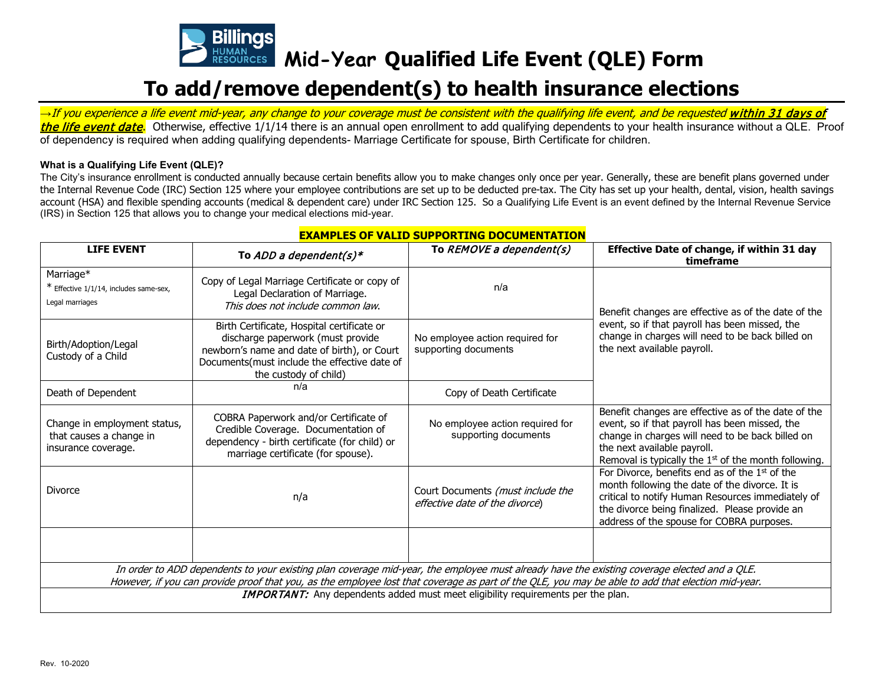

**Mid-Year Qualified Life Event (QLE) Form**

## **To add/remove dependent(s) to health insurance elections**

→If you experience a life event mid-year, any change to your coverage must be consistent with the qualifying life event, and be requested **within 31 days of** the life event date. Otherwise, effective 1/1/14 there is an annual open enrollment to add qualifying dependents to your health insurance without a QLE. Proof of dependency is required when adding qualifying dependents- Marriage Certificate for spouse, Birth Certificate for children.

## **What is a Qualifying Life Event (QLE)?**

The City's insurance enrollment is conducted annually because certain benefits allow you to make changes only once per year. Generally, these are benefit plans governed under the Internal Revenue Code (IRC) Section 125 where your employee contributions are set up to be deducted pre-tax. The City has set up your health, dental, vision, health savings account (HSA) and flexible spending accounts (medical & dependent care) under IRC Section 125. So a Qualifying Life Event is an event defined by the Internal Revenue Service (IRS) in Section 125 that allows you to change your medical elections mid-year.

| <b>LIFE EVENT</b>                                                                                                                                                                                                                                                                                | To ADD a dependent(s)*                                                                                                                                                                                  | To $REMOVE$ a dependent(s)                                          | Effective Date of change, if within 31 day<br>timeframe                                                                                                                                                                                              |  |  |  |  |  |
|--------------------------------------------------------------------------------------------------------------------------------------------------------------------------------------------------------------------------------------------------------------------------------------------------|---------------------------------------------------------------------------------------------------------------------------------------------------------------------------------------------------------|---------------------------------------------------------------------|------------------------------------------------------------------------------------------------------------------------------------------------------------------------------------------------------------------------------------------------------|--|--|--|--|--|
| Marriage*<br>* Effective 1/1/14, includes same-sex,<br>Legal marriages                                                                                                                                                                                                                           | Copy of Legal Marriage Certificate or copy of<br>Legal Declaration of Marriage.<br>This does not include common law.                                                                                    | n/a                                                                 | Benefit changes are effective as of the date of the<br>event, so if that payroll has been missed, the<br>change in charges will need to be back billed on<br>the next available payroll.                                                             |  |  |  |  |  |
| Birth/Adoption/Legal<br>Custody of a Child                                                                                                                                                                                                                                                       | Birth Certificate, Hospital certificate or<br>discharge paperwork (must provide<br>newborn's name and date of birth), or Court<br>Documents(must include the effective date of<br>the custody of child) | No employee action required for<br>supporting documents             |                                                                                                                                                                                                                                                      |  |  |  |  |  |
| Death of Dependent                                                                                                                                                                                                                                                                               | n/a                                                                                                                                                                                                     | Copy of Death Certificate                                           |                                                                                                                                                                                                                                                      |  |  |  |  |  |
| Change in employment status,<br>that causes a change in<br>insurance coverage.                                                                                                                                                                                                                   | COBRA Paperwork and/or Certificate of<br>Credible Coverage. Documentation of<br>dependency - birth certificate (for child) or<br>marriage certificate (for spouse).                                     | No employee action required for<br>supporting documents             | Benefit changes are effective as of the date of the<br>event, so if that payroll has been missed, the<br>change in charges will need to be back billed on<br>the next available payroll.<br>Removal is typically the $1st$ of the month following.   |  |  |  |  |  |
| <b>Divorce</b>                                                                                                                                                                                                                                                                                   | n/a                                                                                                                                                                                                     | Court Documents (must include the<br>effective date of the divorce) | For Divorce, benefits end as of the 1st of the<br>month following the date of the divorce. It is<br>critical to notify Human Resources immediately of<br>the divorce being finalized. Please provide an<br>address of the spouse for COBRA purposes. |  |  |  |  |  |
|                                                                                                                                                                                                                                                                                                  |                                                                                                                                                                                                         |                                                                     |                                                                                                                                                                                                                                                      |  |  |  |  |  |
| In order to ADD dependents to your existing plan coverage mid-year, the employee must already have the existing coverage elected and a QLE.<br>However, if you can provide proof that you, as the employee lost that coverage as part of the QLE, you may be able to add that election mid-year. |                                                                                                                                                                                                         |                                                                     |                                                                                                                                                                                                                                                      |  |  |  |  |  |
| <b>IMPORTANT:</b> Any dependents added must meet eligibility requirements per the plan.                                                                                                                                                                                                          |                                                                                                                                                                                                         |                                                                     |                                                                                                                                                                                                                                                      |  |  |  |  |  |

## **EXAMPLES OF VALID SUPPORTING DOCUMENTATION**